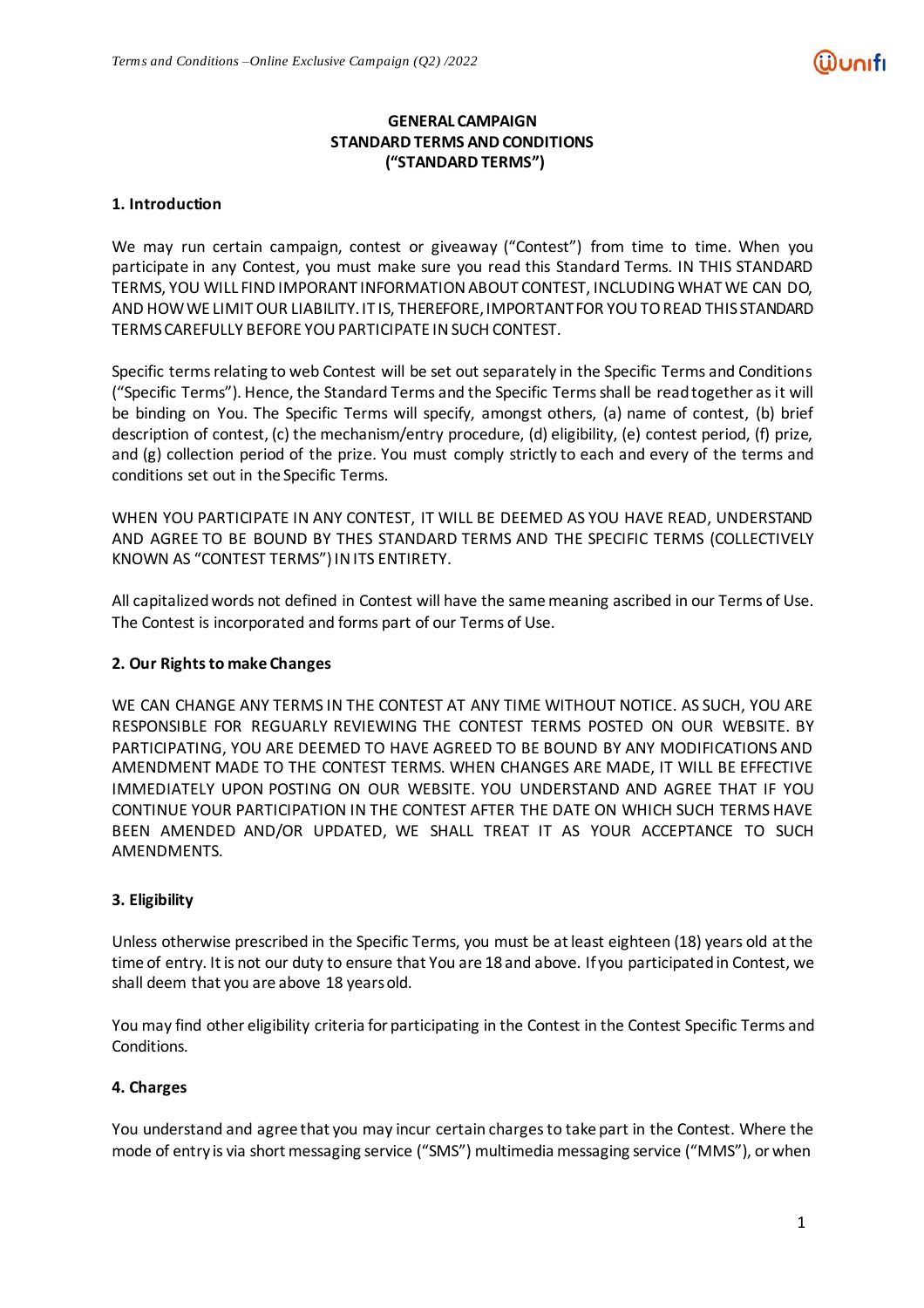# **GENERAL CAMPAIGN STANDARD TERMS AND CONDITIONS ("STANDARD TERMS")**

# **1. Introduction**

We may run certain campaign, contest or giveaway ("Contest") from time to time. When you participate in any Contest, you must make sure you read this Standard Terms. IN THIS STANDARD TERMS, YOU WILL FIND IMPORANT INFORMATION ABOUT CONTEST, INCLUDING WHAT WE CAN DO, AND HOWWE LIMITOUR LIABILITY.IT IS, THEREFORE,IMPORTANTFOR YOUTOREAD THIS STANDARD TERMSCAREFULLY BEFORE YOUPARTICIPATE INSUCH CONTEST.

Specific terms relating to web Contest will be set out separately in the Specific Terms and Conditions ("Specific Terms"). Hence, the Standard Terms and the Specific Terms shall be read together as it will be binding on You. The Specific Terms will specify, amongst others, (a) name of contest, (b) brief description of contest, (c) the mechanism/entry procedure, (d) eligibility, (e) contest period, (f) prize, and (g) collection period of the prize. You must comply strictly to each and every of the terms and conditions set out in the Specific Terms.

WHEN YOU PARTICIPATE IN ANY CONTEST, IT WILL BE DEEMED AS YOU HAVE READ, UNDERSTAND AND AGREE TO BE BOUND BY THES STANDARD TERMS AND THE SPECIFIC TERMS (COLLECTIVELY KNOWN AS "CONTEST TERMS")INITS ENTIRETY.

All capitalizedwords not defined in Contest will have the samemeaning ascribed in our Terms of Use. The Contest is incorporated and forms part of our Terms of Use.

# **2. Our Rightsto make Changes**

WE CAN CHANGE ANY TERMS IN THE CONTEST AT ANY TIME WITHOUT NOTICE. AS SUCH, YOU ARE RESPONSIBLE FOR REGUARLY REVIEWING THE CONTEST TERMS POSTED ON OUR WEBSITE. BY PARTICIPATING, YOU ARE DEEMED TO HAVE AGREED TO BE BOUND BY ANY MODIFICATIONS AND AMENDMENT MADE TO THE CONTEST TERMS. WHEN CHANGES ARE MADE, IT WILL BE EFFECTIVE IMMEDIATELY UPON POSTING ON OUR WEBSITE. YOU UNDERSTAND AND AGREE THAT IF YOU CONTINUE YOUR PARTICIPATION IN THE CONTEST AFTER THE DATE ON WHICH SUCH TERMS HAVE BEEN AMENDED AND/OR UPDATED, WE SHALL TREAT IT AS YOUR ACCEPTANCE TO SUCH AMENDMENTS.

# **3. Eligibility**

Unless otherwise prescribed in the Specific Terms, you must be at least eighteen (18) years old at the time of entry. Itis not our duty to ensure that You are 18 and above. If you participated in Contest, we shall deem that you are above 18 yearsold.

You may find other eligibility criteria for participating in the Contest in the Contest Specific Terms and Conditions.

# **4. Charges**

You understand and agree that you may incur certain charges to take part in the Contest. Where the mode of entry is via short messaging service ("SMS") multimedia messaging service ("MMS"), or when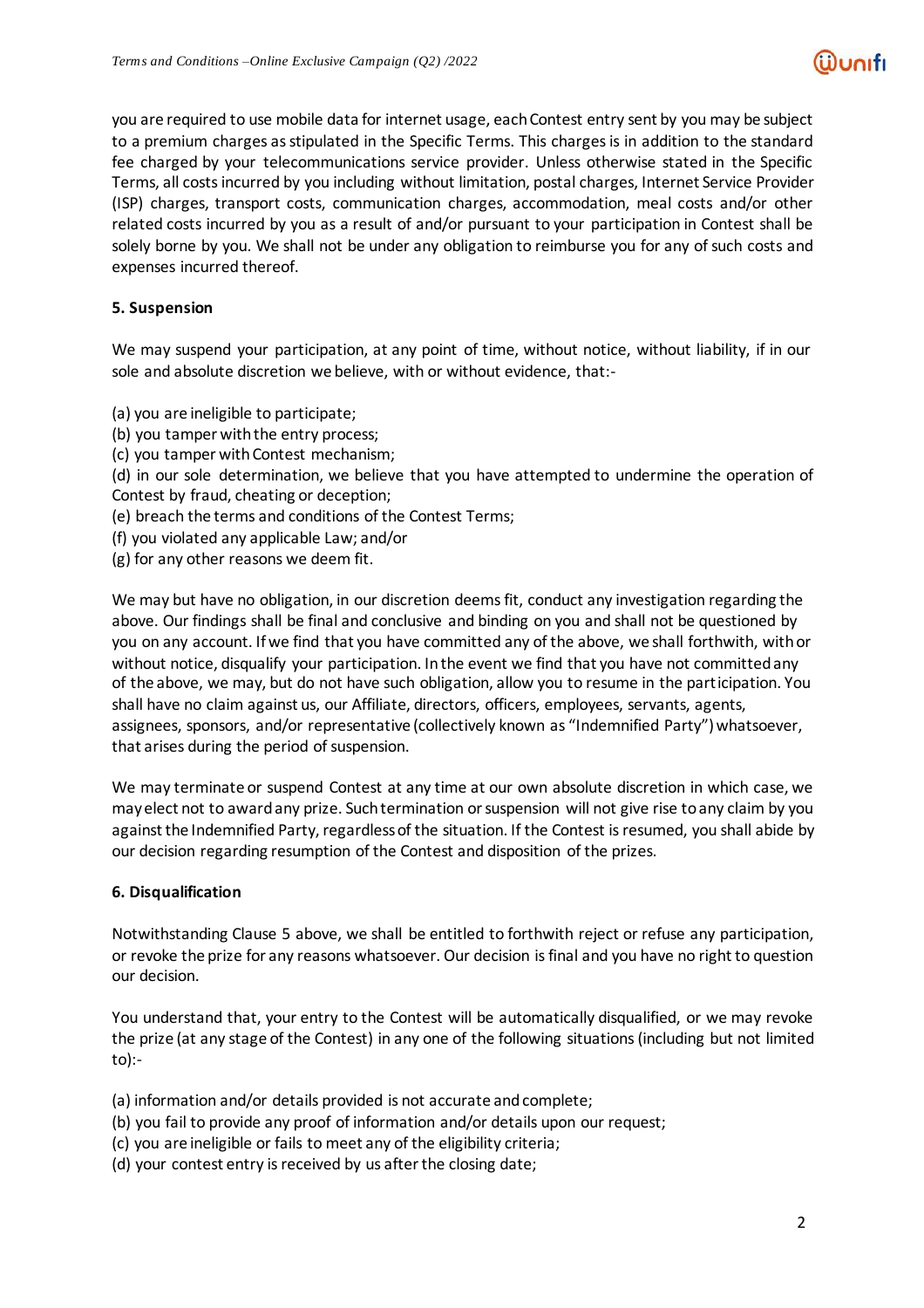you are required to use mobile data for internet usage, eachContest entry sent by you may be subject to a premium charges as stipulated in the Specific Terms. This charges is in addition to the standard fee charged by your telecommunications service provider. Unless otherwise stated in the Specific Terms, all costsincurred by you including without limitation, postal charges, Internet Service Provider (ISP) charges, transport costs, communication charges, accommodation, meal costs and/or other related costs incurred by you as a result of and/or pursuant to your participation in Contest shall be solely borne by you. We shall not be under any obligation to reimburse you for any of such costs and expenses incurred thereof.

# **5. Suspension**

We may suspend your participation, at any point of time, without notice, without liability, if in our sole and absolute discretion we believe, with or without evidence, that:-

- (a) you are ineligible to participate;
- (b) you tamper with the entry process;
- (c) you tamper with Contest mechanism;
- (d) in our sole determination, we believe that you have attempted to undermine the operation of Contest by fraud, cheating or deception;
- (e) breach the terms and conditions of the Contest Terms;
- (f) you violated any applicable Law; and/or
- (g) for any other reasons we deem fit.

We may but have no obligation, in our discretion deems fit, conduct any investigation regarding the above. Our findings shall be final and conclusive and binding on you and shall not be questioned by you on any account. If we find that you have committed any of the above, we shall forthwith, with or without notice, disqualify your participation. In the event we find that you have not committed any of the above, we may, but do not have such obligation, allow you to resume in the participation. You shall have no claim against us, our Affiliate, directors, officers, employees, servants, agents, assignees, sponsors, and/or representative (collectively known as "Indemnified Party") whatsoever, that arises during the period of suspension.

We may terminate or suspend Contest at any time at our own absolute discretion in which case, we mayelect not to awardany prize. Suchtermination orsuspension will not give rise toany claim by you against the Indemnified Party, regardless of the situation. If the Contest is resumed, you shall abide by our decision regarding resumption of the Contest and disposition of the prizes.

#### **6. Disqualification**

Notwithstanding Clause 5 above, we shall be entitled to forthwith reject or refuse any participation, or revoke the prize for any reasons whatsoever. Our decision isfinal and you have no right to question our decision.

You understand that, your entry to the Contest will be automatically disqualified, or we may revoke the prize (at any stage of the Contest) in any one of the following situations (including but not limited to):-

(a) information and/or details provided is not accurate andcomplete;

- (b) you fail to provide any proof of information and/or details upon our request;
- (c) you are ineligible or fails to meet any of the eligibility criteria;
- (d) your contest entry is received by us after the closing date;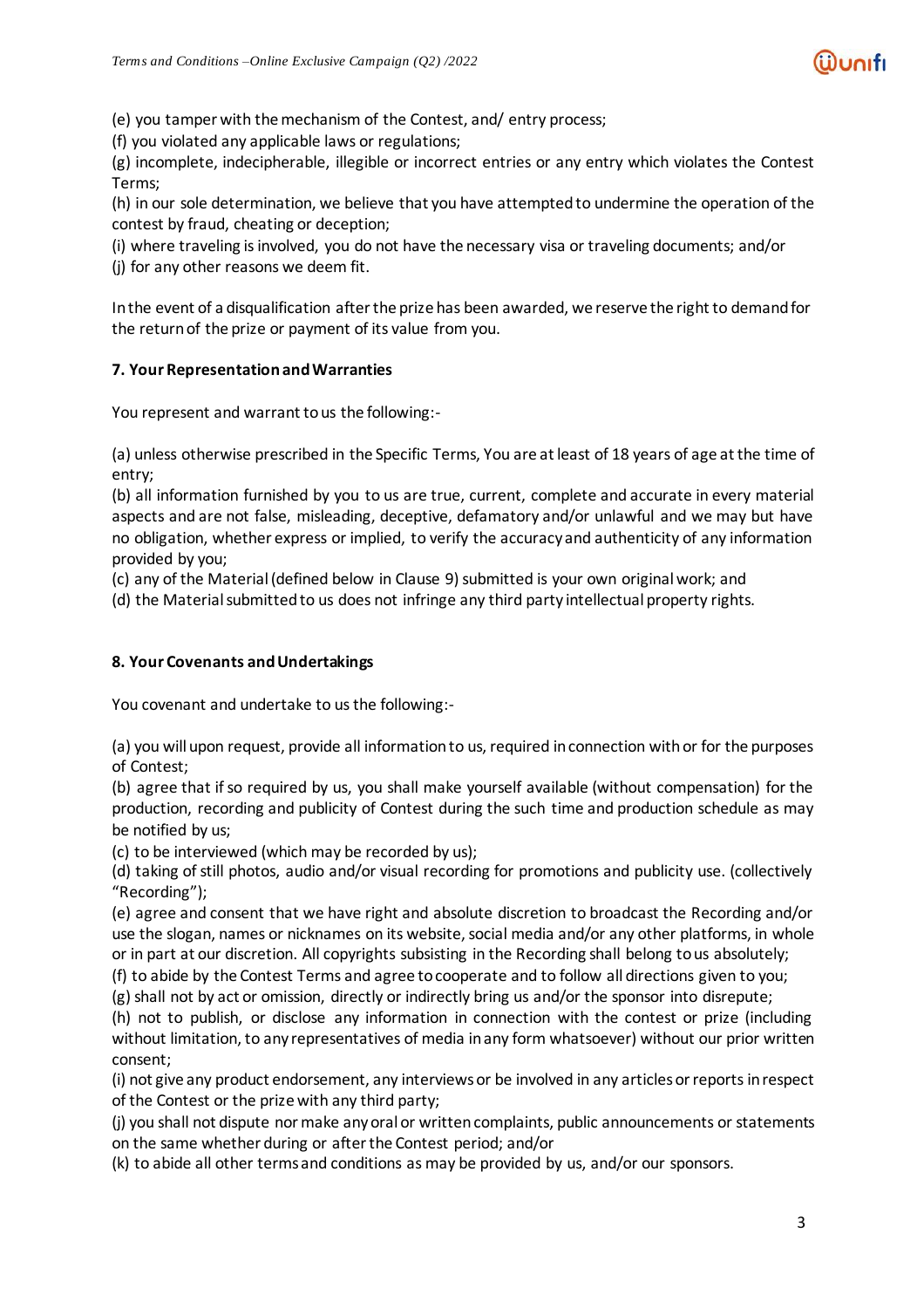(e) you tamper with themechanism of the Contest, and/ entry process;

(f) you violated any applicable laws or regulations;

(g) incomplete, indecipherable, illegible or incorrect entries or any entry which violates the Contest Terms;

(h) in our sole determination, we believe that you have attemptedto undermine the operation of the contest by fraud, cheating or deception;

(i) where traveling isinvolved, you do not have the necessary visa or traveling documents; and/or

(j) for any other reasons we deem fit.

Inthe event of a disqualification afterthe prize has been awarded, we reserve the right to demandfor the returnof the prize or payment of its value from you.

# **7. Your RepresentationandWarranties**

You represent and warrant to us the following:-

(a) unless otherwise prescribed in the Specific Terms, You are atleast of 18 years of age atthe time of entry;

(b) all information furnished by you to us are true, current, complete and accurate in every material aspects and are not false, misleading, deceptive, defamatory and/or unlawful and we may but have no obligation, whether express or implied, to verify the accuracy and authenticity of any information provided by you;

(c) any of the Material(defined below in Clause 9) submitted is your own originalwork; and

(d) the Material submitted to us does not infringe any third party intellectual property rights.

# **8. Your Covenants andUndertakings**

You covenant and undertake to us the following:-

(a) you willupon request, provide all informationto us, required inconnection withor for the purposes of Contest;

(b) agree that if so required by us, you shall make yourself available (without compensation) for the production, recording and publicity of Contest during the such time and production schedule as may be notified by us;

(c) to be interviewed (which may be recorded by us);

(d) taking of still photos, audio and/or visual recording for promotions and publicity use. (collectively "Recording");

(e) agree and consent that we have right and absolute discretion to broadcast the Recording and/or use the slogan, names or nicknames on its website, social media and/or any other platforms, in whole or in part at our discretion. All copyrights subsisting in the Recording shall belong to us absolutely;

(f) to abide by the Contest Terms and agree to cooperate and to follow all directions given to you;

(g) shall not by act or omission, directly or indirectly bring us and/or the sponsor into disrepute;

(h) not to publish, or disclose any information in connection with the contest or prize (including without limitation, to any representatives of media inany form whatsoever) without our prior written consent;

(i) not give any product endorsement, any interviewsor be involved in any articlesorreportsinrespect of the Contest or the prize with any third party;

(j) you shall not dispute normake anyoral or writtencomplaints, public announcements or statements on the same whether during or after the Contest period; and/or

(k) to abide all other termsand conditions as may be provided by us, and/or our sponsors.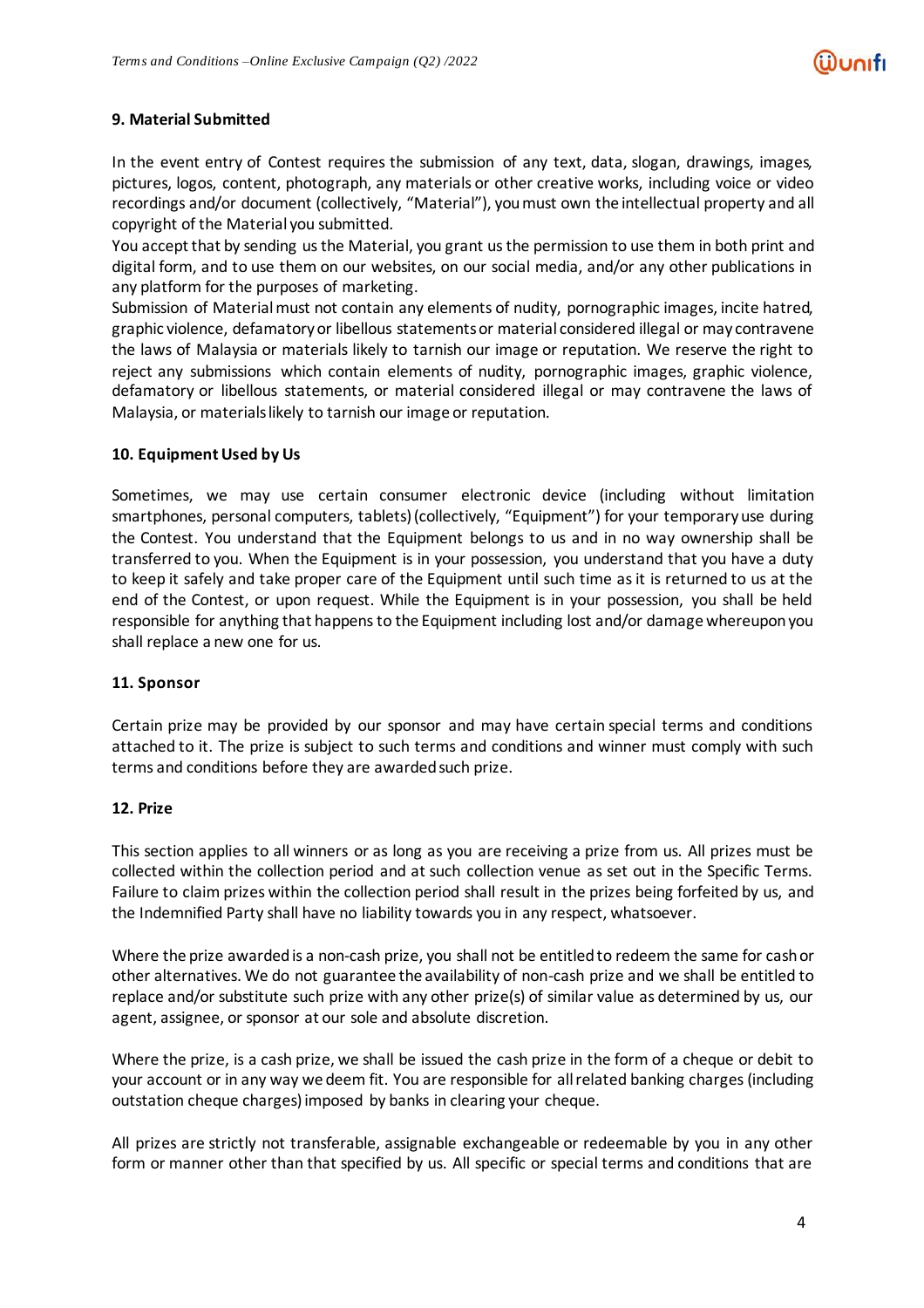# **9. Material Submitted**

In the event entry of Contest requires the submission of any text, data, slogan, drawings, images, pictures, logos, content, photograph, any materials or other creative works, including voice or video recordings and/or document (collectively, "Material"), youmust own the intellectual property and all copyright of the Material you submitted.

You accept that by sending usthe Material, you grant usthe permission to use them in both print and digital form, and to use them on our websites, on our social media, and/or any other publications in any platform for the purposes of marketing.

Submission of Material must not contain any elements of nudity, pornographic images, incite hatred, graphic violence, defamatoryor libellous statementsor material considered illegal or may contravene the laws of Malaysia or materials likely to tarnish our image or reputation. We reserve the right to reject any submissions which contain elements of nudity, pornographic images, graphic violence, defamatory or libellous statements, or material considered illegal or may contravene the laws of Malaysia, or materials likely to tarnish our image or reputation.

#### **10. EquipmentUsed by Us**

Sometimes, we may use certain consumer electronic device (including without limitation smartphones, personal computers, tablets) (collectively, "Equipment") for your temporary use during the Contest. You understand that the Equipment belongs to us and in no way ownership shall be transferred to you. When the Equipment is in your possession, you understand that you have a duty to keep it safely and take proper care of the Equipment until such time as it is returned to us at the end of the Contest, or upon request. While the Equipment is in your possession, you shall be held responsible for anything that happensto the Equipment including lost and/or damage whereuponyou shall replace a new one for us.

#### **11. Sponsor**

Certain prize may be provided by our sponsor and may have certain special terms and conditions attached to it. The prize is subject to such terms and conditions and winner must comply with such terms and conditions before they are awarded such prize.

#### **12. Prize**

This section applies to all winners or as long as you are receiving a prize from us. All prizes must be collected within the collection period and at such collection venue as set out in the Specific Terms. Failure to claim prizes within the collection period shall result in the prizes being forfeited by us, and the Indemnified Party shall have no liability towards you in any respect, whatsoever.

Where the prize awarded is a non-cash prize, you shall not be entitled to redeem the same for cash or other alternatives. We do not guarantee the availability of non-cash prize and we shall be entitled to replace and/or substitute such prize with any other prize(s) of similar value as determined by us, our agent, assignee, or sponsor at our sole and absolute discretion.

Where the prize, is a cash prize, we shall be issued the cash prize in the form of a cheque or debit to your account or in any way we deem fit. You are responsible for allrelated banking charges(including outstation cheque charges)imposed by banks in clearing your cheque.

All prizes are strictly not transferable, assignable exchangeable or redeemable by you in any other form or manner other than that specified by us. All specific or special terms and conditions that are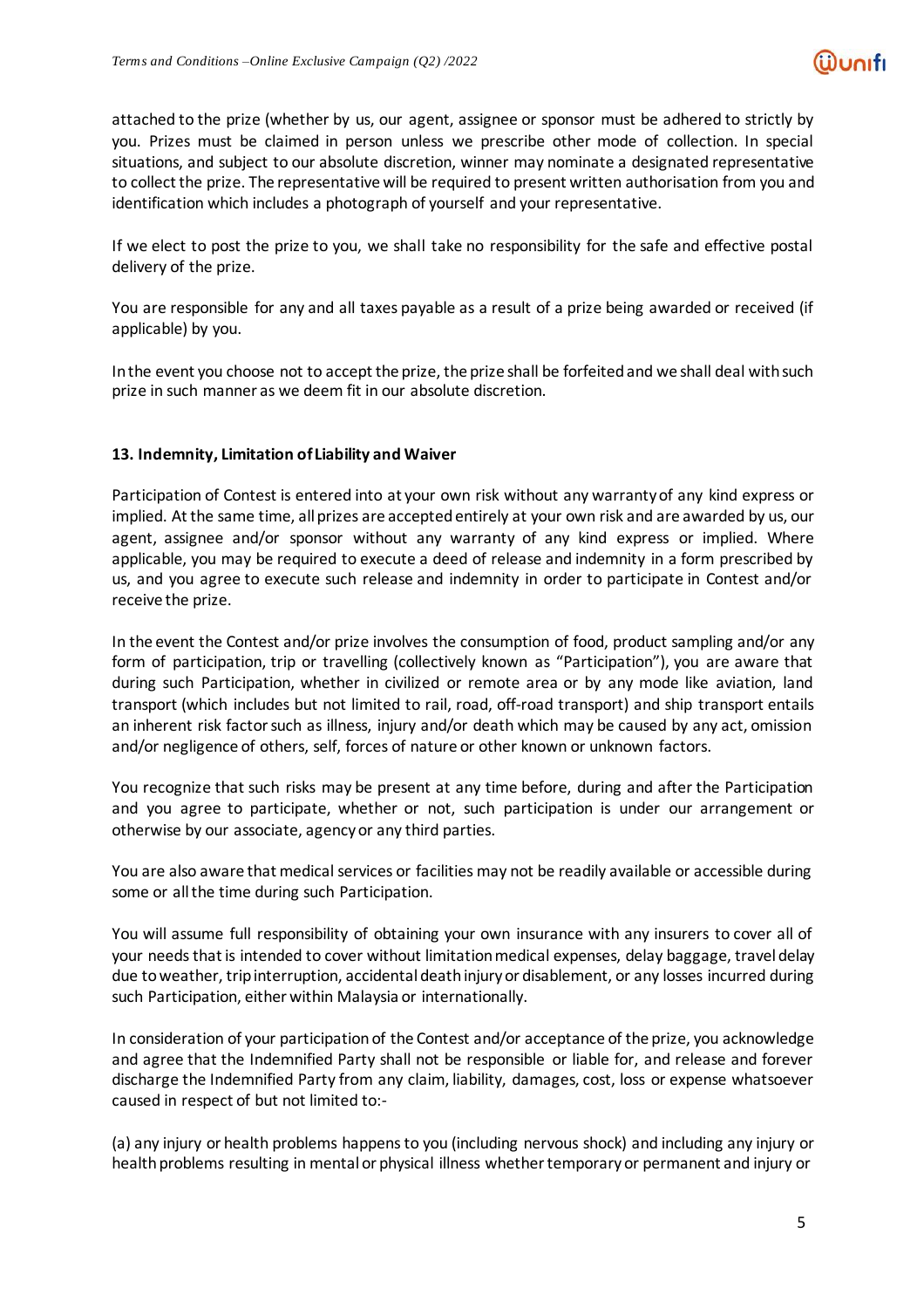attached to the prize (whether by us, our agent, assignee or sponsor must be adhered to strictly by you. Prizes must be claimed in person unless we prescribe other mode of collection. In special situations, and subject to our absolute discretion, winner may nominate a designated representative to collect the prize. The representative will be required to present written authorisation from you and identification which includes a photograph of yourself and your representative.

If we elect to post the prize to you, we shall take no responsibility for the safe and effective postal delivery of the prize.

You are responsible for any and all taxes payable as a result of a prize being awarded or received (if applicable) by you.

Inthe event you choose not to accept the prize, the prize shall be forfeitedand we shall deal withsuch prize in such manner as we deem fit in our absolute discretion.

### **13. Indemnity, Limitation of Liability and Waiver**

Participation of Contest is entered into at your own risk without any warranty of any kind express or implied. At the same time, all prizes are accepted entirely at your own risk and are awarded by us, our agent, assignee and/or sponsor without any warranty of any kind express or implied. Where applicable, you may be required to execute a deed of release and indemnity in a form prescribed by us, and you agree to execute such release and indemnity in order to participate in Contest and/or receive the prize.

In the event the Contest and/or prize involves the consumption of food, product sampling and/or any form of participation, trip or travelling (collectively known as "Participation"), you are aware that during such Participation, whether in civilized or remote area or by any mode like aviation, land transport (which includes but not limited to rail, road, off-road transport) and ship transport entails an inherent risk factor such as illness, injury and/or death which may be caused by any act, omission and/or negligence of others, self, forces of nature or other known or unknown factors.

You recognize that such risks may be present at any time before, during and after the Participation and you agree to participate, whether or not, such participation is under our arrangement or otherwise by our associate, agencyor any third parties.

You are also aware that medical services or facilities may not be readily available or accessible during some or all the time during such Participation.

You will assume full responsibility of obtaining your own insurance with any insurers to cover all of your needs that is intended to cover without limitation medical expenses, delay baggage, travel delay due toweather, tripinterruption, accidental deathinjuryor disablement, or any losses incurred during such Participation, either within Malaysia or internationally.

In consideration of your participation of the Contest and/or acceptance of the prize, you acknowledge and agree that the Indemnified Party shall not be responsible or liable for, and release and forever discharge the Indemnified Party from any claim, liability, damages, cost, loss or expense whatsoever caused in respect of but not limited to:-

(a) any injury or health problems happensto you (including nervous shock) and including any injury or health problems resulting in mental or physical illness whether temporary or permanent and injury or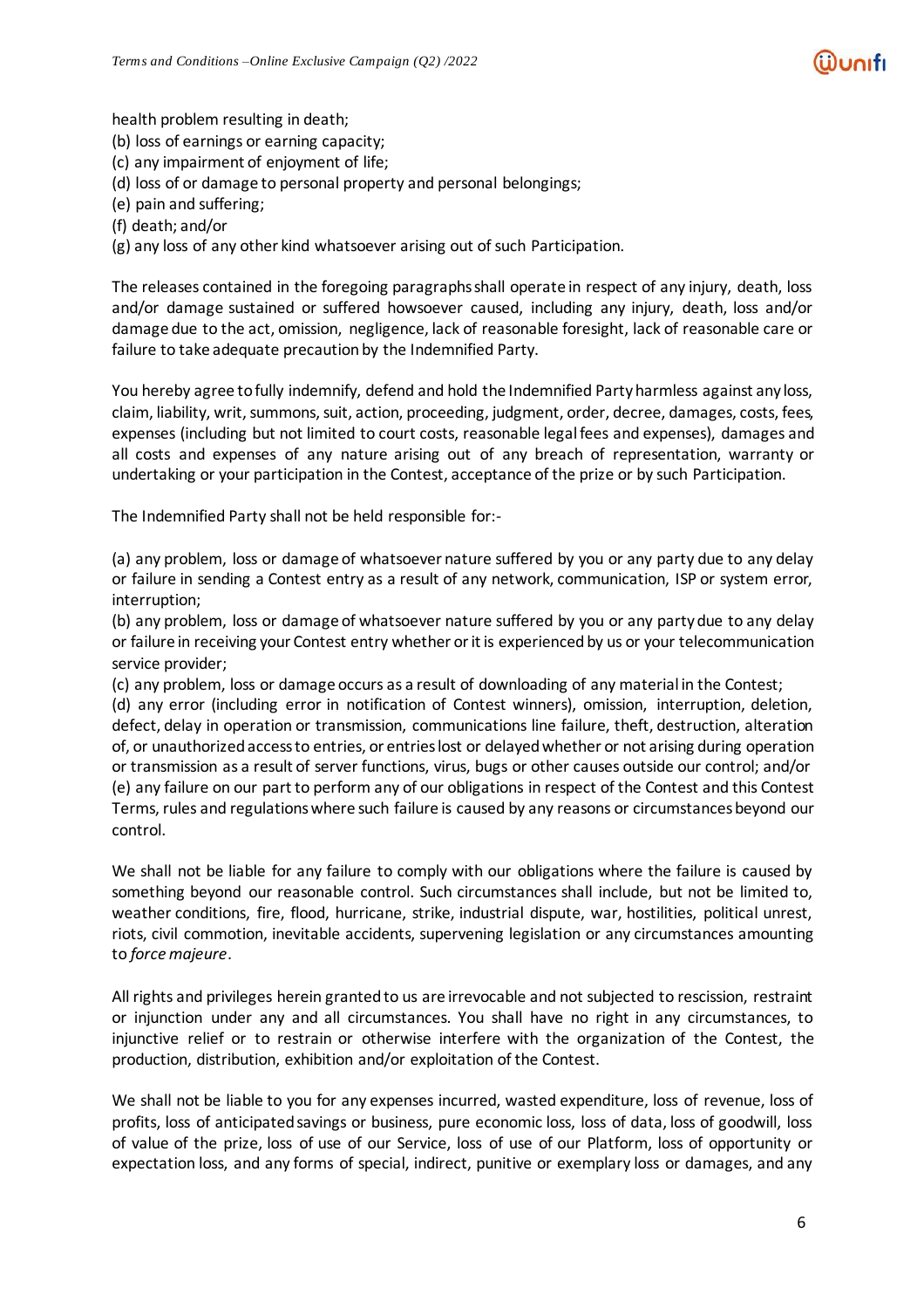health problem resulting in death;

(b) loss of earnings or earning capacity;

(c) any impairment of enjoyment of life;

(d) loss of or damage to personal property and personal belongings;

(e) pain and suffering;

(f) death; and/or

(g) any loss of any other kind whatsoever arising out of such Participation.

The releases contained in the foregoing paragraphs shall operate in respect of any injury, death, loss and/or damage sustained or suffered howsoever caused, including any injury, death, loss and/or damage due to the act, omission, negligence, lack of reasonable foresight, lack of reasonable care or failure to take adequate precaution by the Indemnified Party.

You hereby agree tofully indemnify, defend and hold the Indemnified Partyharmless against any loss, claim, liability, writ, summons, suit, action, proceeding, judgment, order, decree, damages, costs, fees, expenses (including but not limited to court costs, reasonable legal fees and expenses), damages and all costs and expenses of any nature arising out of any breach of representation, warranty or undertaking or your participation in the Contest, acceptance of the prize or by such Participation.

The Indemnified Party shall not be held responsible for:-

(a) any problem, loss or damage of whatsoever nature suffered by you or any party due to any delay or failure in sending a Contest entry as a result of any network, communication, ISP or system error, interruption;

(b) any problem, loss or damage of whatsoever nature suffered by you or any party due to any delay or failure in receiving your Contest entry whether orit is experiencedby us or your telecommunication service provider;

(c) any problem, loss or damage occurs as a result of downloading of any material in the Contest;

(d) any error (including error in notification of Contest winners), omission, interruption, deletion, defect, delay in operation or transmission, communications line failure, theft, destruction, alteration of, or unauthorized accessto entries, or entrieslost or delayedwhether or not arising during operation or transmission as a result of server functions, virus, bugs or other causes outside our control; and/or (e) any failure on our part to perform any of our obligations in respect of the Contest and this Contest Terms, rules and regulationswhere such failure is caused by any reasons or circumstancesbeyond our control.

We shall not be liable for any failure to comply with our obligations where the failure is caused by something beyond our reasonable control. Such circumstances shall include, but not be limited to, weather conditions, fire, flood, hurricane, strike, industrial dispute, war, hostilities, political unrest, riots, civil commotion, inevitable accidents, supervening legislation or any circumstances amounting to *force majeure*.

All rights and privileges herein granted to us are irrevocable and not subjected to rescission, restraint or injunction under any and all circumstances. You shall have no right in any circumstances, to injunctive relief or to restrain or otherwise interfere with the organization of the Contest, the production, distribution, exhibition and/or exploitation of the Contest.

We shall not be liable to you for any expenses incurred, wasted expenditure, loss of revenue, loss of profits, loss of anticipated savings or business, pure economic loss, loss of data, loss of goodwill, loss of value of the prize, loss of use of our Service, loss of use of our Platform, loss of opportunity or expectation loss, and any forms of special, indirect, punitive or exemplary loss or damages, and any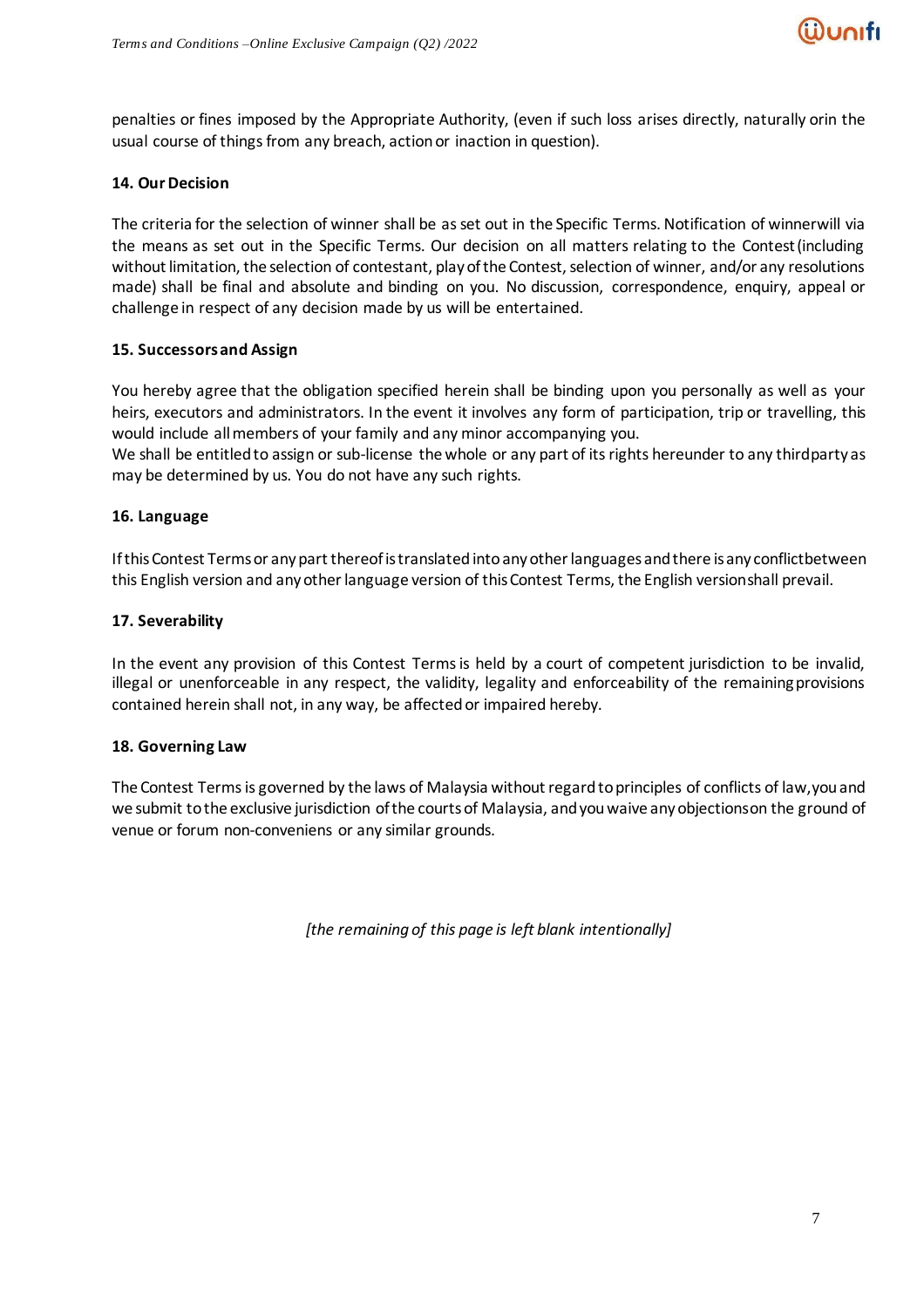

penalties or fines imposed by the Appropriate Authority, (even if such loss arises directly, naturally orin the usual course of things from any breach, action or inaction in question).

#### **14. OurDecision**

The criteria for the selection of winner shall be asset out in the Specific Terms. Notification of winnerwill via the means as set out in the Specific Terms. Our decision on all matters relating to the Contest(including without limitation, the selection of contestant, play of the Contest, selection of winner, and/or any resolutions made) shall be final and absolute and binding on you. No discussion, correspondence, enquiry, appeal or challenge in respect of any decision made by us will be entertained.

### **15. Successorsand Assign**

You hereby agree that the obligation specified herein shall be binding upon you personally as well as your heirs, executors and administrators. In the event it involves any form of participation, trip or travelling, this would include allmembers of your family and any minor accompanying you.

We shall be entitled to assign or sub-license the whole or any part of its rights hereunder to any thirdparty as may be determined by us. You do not have any such rights.

#### **16. Language**

If this Contest Terms or any part thereof is translated into any other languages and there is any conflictbetween this English version and any other language version of this Contest Terms, the English versionshall prevail.

#### **17. Severability**

In the event any provision of this Contest Terms is held by a court of competent jurisdiction to be invalid, illegal or unenforceable in any respect, the validity, legality and enforceability of the remainingprovisions contained herein shall not, in any way, be affected or impaired hereby.

#### **18. Governing Law**

The Contest Terms is governed by the laws of Malaysia without regard to principles of conflicts of law, you and we submit tothe exclusive jurisdiction ofthe courtsof Malaysia, andyouwaive anyobjectionson the ground of venue or forum non-conveniens or any similar grounds.

*[the remaining of this page is left blank intentionally]*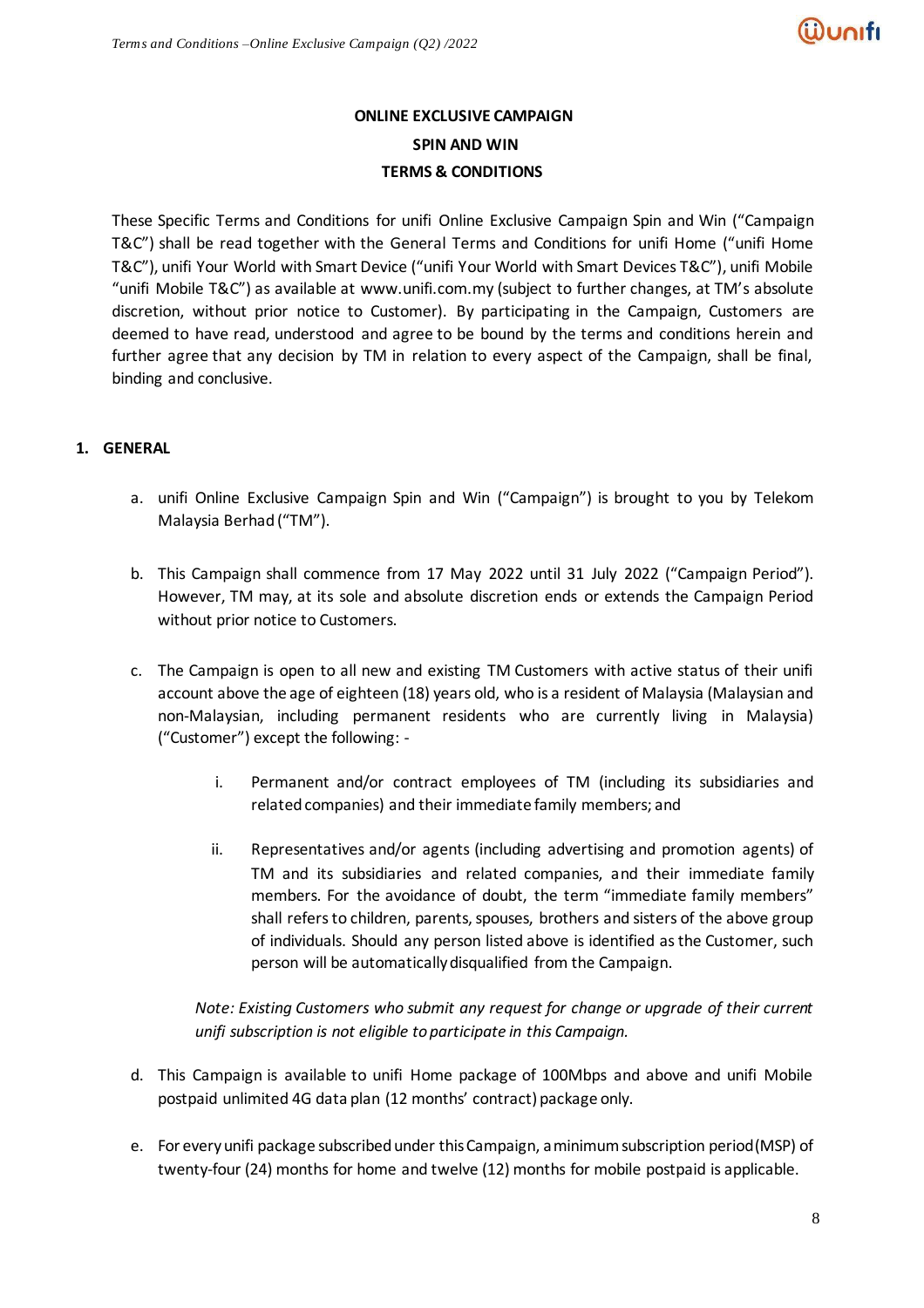# **ONLINE EXCLUSIVE CAMPAIGN SPIN AND WIN TERMS & CONDITIONS**

These Specific Terms and Conditions for unifi Online Exclusive Campaign Spin and Win ("Campaign T&C") shall be read together with the General Terms and Conditions for unifi Home ("unifi Home T&C"), unifi Your World with Smart Device ("unifi Your World with Smart Devices T&C"), unifi Mobile "unifi Mobile T&C") as available at [www.unifi.com.my](http://www.unifi.com.my/) (subject to further changes, at TM's absolute discretion, without prior notice to Customer). By participating in the Campaign, Customers are deemed to have read, understood and agree to be bound by the terms and conditions herein and further agree that any decision by TM in relation to every aspect of the Campaign, shall be final, binding and conclusive.

# **1. GENERAL**

- a. unifi Online Exclusive Campaign Spin and Win ("Campaign") is brought to you by Telekom Malaysia Berhad ("TM").
- b. This Campaign shall commence from 17 May 2022 until 31 July 2022 ("Campaign Period"). However, TM may, at its sole and absolute discretion ends or extends the Campaign Period without prior notice to Customers.
- c. The Campaign is open to all new and existing TM Customers with active status of their unifi account above the age of eighteen (18) years old, who is a resident of Malaysia (Malaysian and non-Malaysian, including permanent residents who are currently living in Malaysia) ("Customer") except the following:
	- i. Permanent and/or contract employees of TM (including its subsidiaries and related companies) and their immediate family members; and
	- ii. Representatives and/or agents (including advertising and promotion agents) of TM and its subsidiaries and related companies, and their immediate family members. For the avoidance of doubt, the term "immediate family members" shall refers to children, parents, spouses, brothers and sisters of the above group of individuals. Should any person listed above is identified as the Customer, such person will be automatically disqualified from the Campaign.

*Note: Existing Customers who submit any request for change or upgrade of their current unifi subscription is not eligible to participate in this Campaign.* 

- d. This Campaign is available to unifi Home package of 100Mbps and above and unifi Mobile postpaid unlimited 4G data plan (12 months' contract) package only.
- e. For everyunifi package subscribedunder thisCampaign, a minimumsubscription period(MSP) of twenty-four (24) months for home and twelve (12) months for mobile postpaid is applicable.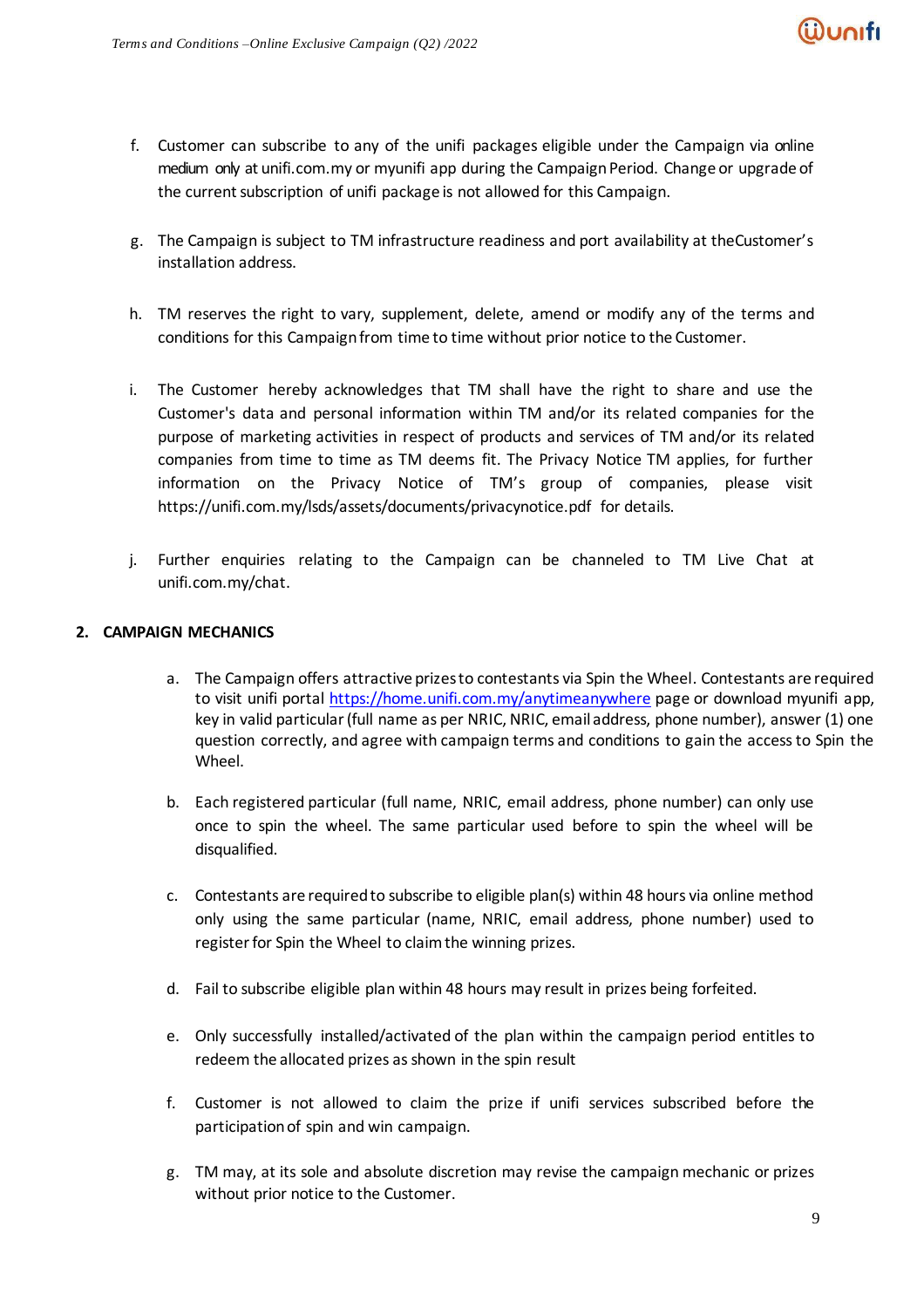- f. Customer can subscribe to any of the unifi packages eligible under the Campaign via online medium only at unifi.com.my or myunifi app during the Campaign Period. Change or upgrade of the current subscription of unifi package is not allowed for this Campaign.
- g. The Campaign is subject to TM infrastructure readiness and port availability at theCustomer's installation address.
- h. TM reserves the right to vary, supplement, delete, amend or modify any of the terms and conditions for this Campaignfrom time to time without prior notice to the Customer.
- i. The Customer hereby acknowledges that TM shall have the right to share and use the Customer's data and personal information within TM and/or its related companies for the purpose of marketing activities in respect of products and services of TM and/or its related companies from time to time as TM deems fit. The Privacy Notice TM applies, for further information on the Privacy Notice of TM's group of companies, please visit https://unifi.com.my/lsds/assets/documents/privacynotice.pdf for details.
- j. Further enquiries relating to the Campaign can be channeled to TM Live Chat at unifi.com.my/chat.

#### **2. CAMPAIGN MECHANICS**

- a. The Campaign offers attractive prizes to contestants via Spin the Wheel. Contestants are required to visit unifi porta[l https://home.unifi.com.my/anytimeanywhere](https://home.unifi.com.my/anytimeanywhere) page or download myunifi app, key in valid particular (full name as per NRIC, NRIC, email address, phone number), answer (1) one question correctly, and agree with campaign terms and conditions to gain the access to Spin the Wheel.
- b. Each registered particular (full name, NRIC, email address, phone number) can only use once to spin the wheel. The same particular used before to spin the wheel will be disqualified.
- c. Contestants are required to subscribe to eligible plan(s) within 48 hours via online method only using the same particular (name, NRIC, email address, phone number) used to register for Spin the Wheel to claim the winning prizes.
- d. Fail to subscribe eligible plan within 48 hours may result in prizes being forfeited.
- e. Only successfully installed/activated of the plan within the campaign period entitles to redeem the allocated prizes as shown in the spin result
- f. Customer is not allowed to claim the prize if unifi services subscribed before the participation of spin and win campaign.
- g. TM may, at its sole and absolute discretion may revise the campaign mechanic or prizes without prior notice to the Customer.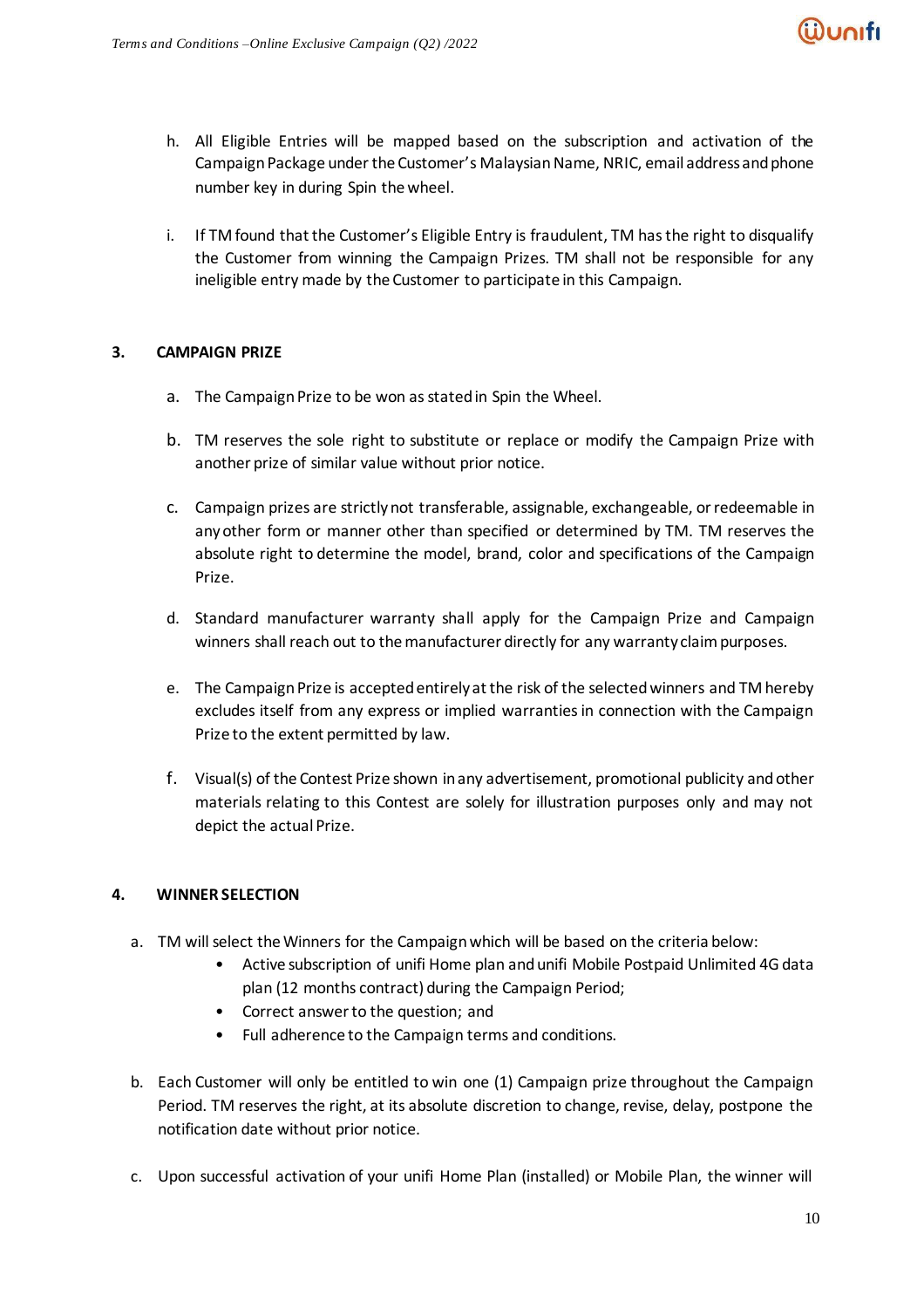

- h. All Eligible Entries will be mapped based on the subscription and activation of the Campaign Package under the Customer's Malaysian Name, NRIC, email address and phone number key in during Spin the wheel.
- i. If TM found that the Customer's Eligible Entry is fraudulent, TM has the right to disqualify the Customer from winning the Campaign Prizes. TM shall not be responsible for any ineligible entry made by the Customer to participate in this Campaign.

### **3. CAMPAIGN PRIZE**

- a. The Campaign Prize to be won as stated in Spin the Wheel.
- b. TM reserves the sole right to substitute or replace or modify the Campaign Prize with another prize of similar value without prior notice.
- c. Campaign prizes are strictlynot transferable, assignable, exchangeable, orredeemable in any other form or manner other than specified or determined by TM. TM reserves the absolute right to determine the model, brand, color and specifications of the Campaign Prize.
- d. Standard manufacturer warranty shall apply for the Campaign Prize and Campaign winners shall reach out to the manufacturer directly for any warranty claim purposes.
- e. The Campaign Prize is accepted entirely at the risk of the selected winners and TM hereby excludes itself from any express or implied warranties in connection with the Campaign Prize to the extent permitted by law.
- f. Visual(s) of the Contest Prize shown inany advertisement, promotional publicity andother materials relating to this Contest are solely for illustration purposes only and may not depict the actual Prize.

# **4. WINNER SELECTION**

- a. TM will select the Winners for the Campaign which will be based on the criteria below:
	- Active subscription of unifi Home plan and unifi Mobile Postpaid Unlimited 4G data plan (12 months contract) during the Campaign Period;
	- Correct answer to the question; and
	- Full adherence to the Campaign terms and conditions.
- b. Each Customer will only be entitled to win one (1) Campaign prize throughout the Campaign Period. TM reserves the right, at its absolute discretion to change, revise, delay, postpone the notification date without prior notice.
- c. Upon successful activation of your unifi Home Plan (installed) or Mobile Plan, the winner will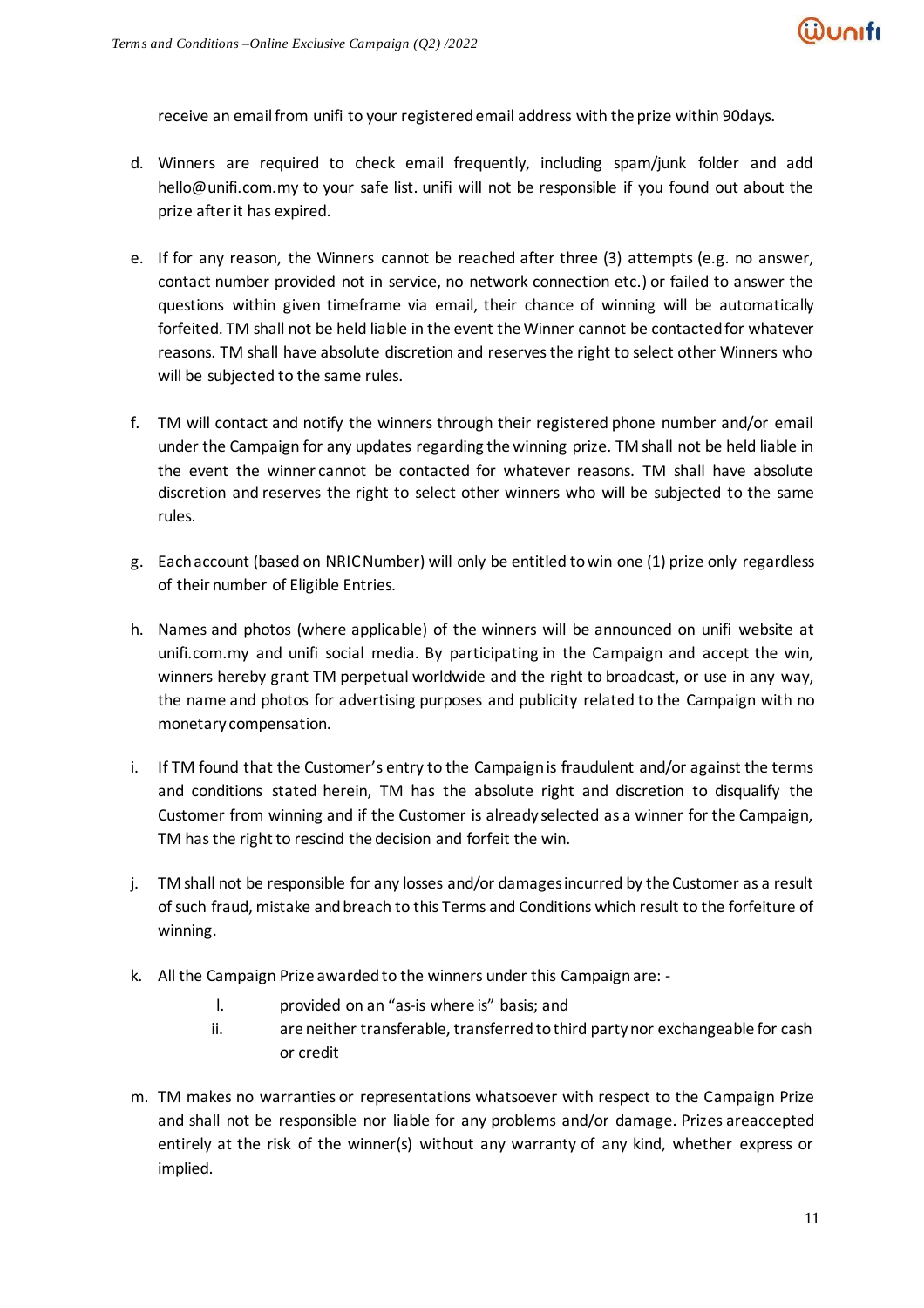receive an email from unifi to your registered email address with the prize within 90days.

- d. Winners are required to check email frequently, including spam/junk folder and add hello@unifi.com.my to your safe list. unifi will not be responsible if you found out about the prize after it has expired.
- e. If for any reason, the Winners cannot be reached after three (3) attempts (e.g. no answer, contact number provided not in service, no network connection etc.) or failed to answer the questions within given timeframe via email, their chance of winning will be automatically forfeited. TM shall not be held liable in the event the Winner cannot be contacted for whatever reasons. TM shall have absolute discretion and reserves the right to select other Winners who will be subjected to the same rules.
- f. TM will contact and notify the winners through their registered phone number and/or email under the Campaign for any updates regarding the winning prize. TM shall not be held liable in the event the winner cannot be contacted for whatever reasons. TM shall have absolute discretion and reserves the right to select other winners who will be subjected to the same rules.
- g. Each account (based on NRIC Number) will only be entitled to win one (1) prize only regardless of their number of Eligible Entries.
- h. Names and photos (where applicable) of the winners will be announced on unifi website at unifi.com.my and unifi social media. By participating in the Campaign and accept the win, winners hereby grant TM perpetual worldwide and the right to broadcast, or use in any way, the name and photos for advertising purposes and publicity related to the Campaign with no monetary compensation.
- i. If TM found that the Customer's entry to the Campaign is fraudulent and/or against the terms and conditions stated herein, TM has the absolute right and discretion to disqualify the Customer from winning and if the Customer is already selected as a winner for the Campaign, TM has the right to rescind the decision and forfeit the win.
- j. TM shall not be responsible for any losses and/or damages incurred by the Customer as a result of such fraud, mistake and breach to this Terms and Conditions which result to the forfeiture of winning.
- k. All the Campaign Prize awarded to the winners under this Campaignare:
	- l. provided on an "as-is where is" basis; and
	- ii. are neither transferable, transferredtothird partynor exchangeable for cash or credit
- m. TM makes no warranties or representations whatsoever with respect to the Campaign Prize and shall not be responsible nor liable for any problems and/or damage. Prizes areaccepted entirely at the risk of the winner(s) without any warranty of any kind, whether express or implied.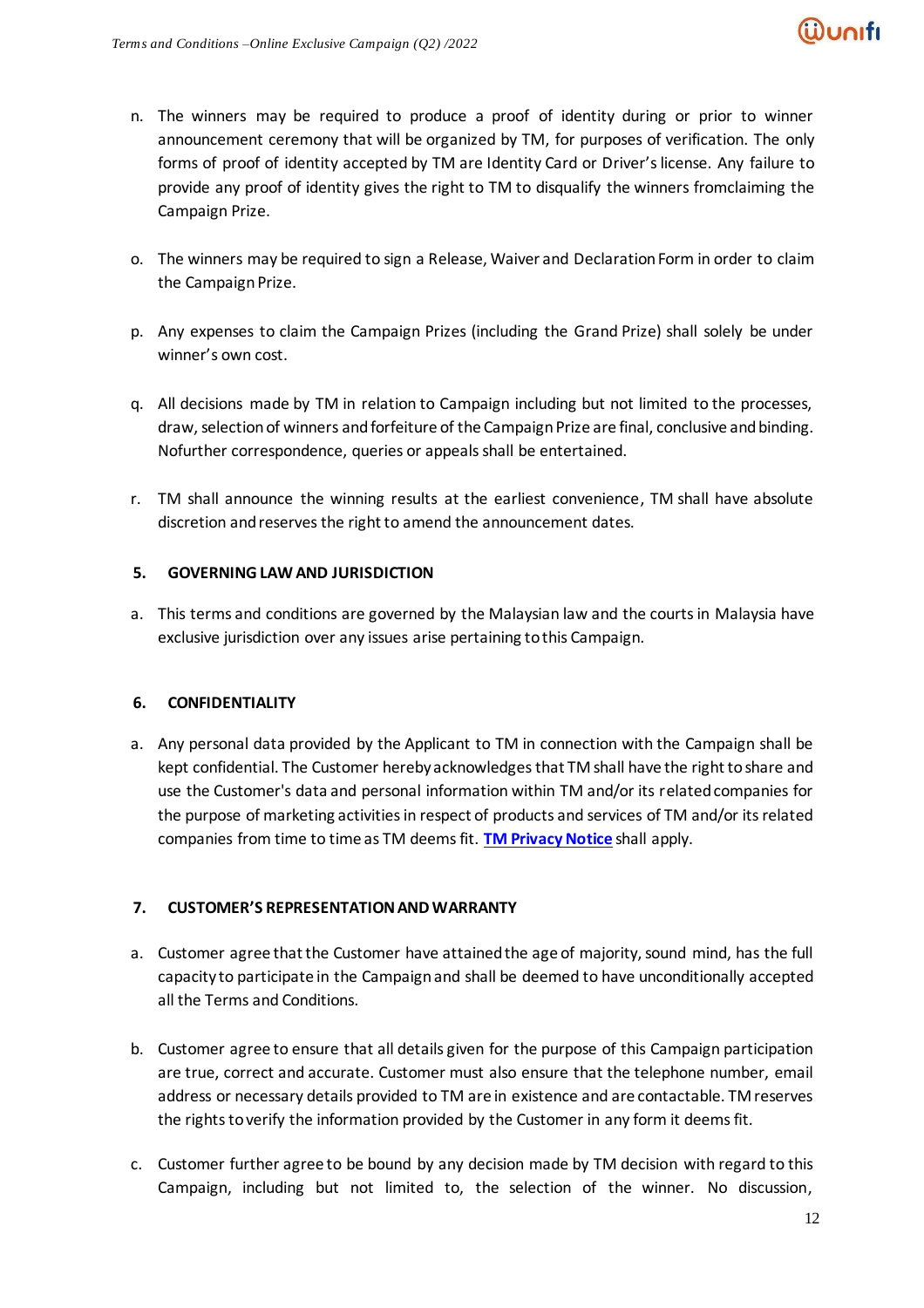- n. The winners may be required to produce a proof of identity during or prior to winner announcement ceremony that will be organized by TM, for purposes of verification. The only forms of proof of identity accepted by TM are Identity Card or Driver's license. Any failure to provide any proof of identity gives the right to TM to disqualify the winners fromclaiming the Campaign Prize.
- o. The winners may be required to sign a Release, Waiver and Declaration Form in order to claim the Campaign Prize.
- p. Any expenses to claim the Campaign Prizes (including the Grand Prize) shall solely be under winner's own cost.
- q. All decisions made by TM in relation to Campaign including but not limited to the processes, draw, selection of winners and forfeiture of the Campaign Prize are final, conclusive and binding. Nofurther correspondence, queries or appeals shall be entertained.
- r. TM shall announce the winning results at the earliest convenience, TM shall have absolute discretion and reserves the right to amend the announcement dates.

### **5. GOVERNING LAW AND JURISDICTION**

a. This terms and conditions are governed by the Malaysian law and the courts in Malaysia have exclusive jurisdiction over any issues arise pertaining tothis Campaign.

# **6. CONFIDENTIALITY**

a. Any personal data provided by the Applicant to TM in connection with the Campaign shall be kept confidential. The Customer hereby acknowledges that TM shall have the right to share and use the Customer's data and personal information within TM and/or its related companies for the purpose of marketing activities in respect of products and services of TM and/or its related companies from time to time as TM deems fit. **[TM Privacy Notice](https://www.tm.com.my/Documents/TM%20Privacy%20Notice.pdf)** shall apply.

# **7. CUSTOMER'S REPRESENTATION AND WARRANTY**

- a. Customer agree that the Customer have attained the age of majority, sound mind, has the full capacity to participate in the Campaign and shall be deemed to have unconditionally accepted all the Terms and Conditions.
- b. Customer agree to ensure that all details given for the purpose of this Campaign participation are true, correct and accurate. Customer must also ensure that the telephone number, email address or necessary details provided to TM are in existence and are contactable. TM reserves the rights to verify the information provided by the Customer in any form it deems fit.
- c. Customer further agree to be bound by any decision made by TM decision with regard to this Campaign, including but not limited to, the selection of the winner. No discussion,